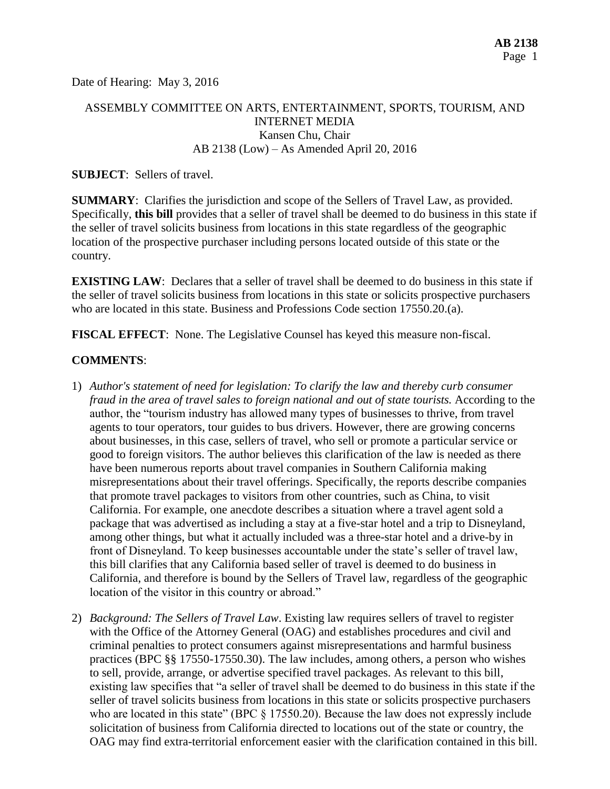Date of Hearing: May 3, 2016

# ASSEMBLY COMMITTEE ON ARTS, ENTERTAINMENT, SPORTS, TOURISM, AND INTERNET MEDIA Kansen Chu, Chair AB 2138 (Low) – As Amended April 20, 2016

### **SUBJECT**: Sellers of travel.

**SUMMARY**: Clarifies the jurisdiction and scope of the Sellers of Travel Law, as provided. Specifically, **this bill** provides that a seller of travel shall be deemed to do business in this state if the seller of travel solicits business from locations in this state regardless of the geographic location of the prospective purchaser including persons located outside of this state or the country.

**EXISTING LAW:** Declares that a seller of travel shall be deemed to do business in this state if the seller of travel solicits business from locations in this state or solicits prospective purchasers who are located in this state. Business and Professions Code section 17550.20.(a).

**FISCAL EFFECT**: None. The Legislative Counsel has keyed this measure non-fiscal.

### **COMMENTS**:

- 1) *Author's statement of need for legislation: To clarify the law and thereby curb consumer fraud in the area of travel sales to foreign national and out of state tourists.* According to the author, the "tourism industry has allowed many types of businesses to thrive, from travel agents to tour operators, tour guides to bus drivers. However, there are growing concerns about businesses, in this case, sellers of travel, who sell or promote a particular service or good to foreign visitors. The author believes this clarification of the law is needed as there have been numerous reports about travel companies in Southern California making misrepresentations about their travel offerings. Specifically, the reports describe companies that promote travel packages to visitors from other countries, such as China, to visit California. For example, one anecdote describes a situation where a travel agent sold a package that was advertised as including a stay at a five-star hotel and a trip to Disneyland, among other things, but what it actually included was a three-star hotel and a drive-by in front of Disneyland. To keep businesses accountable under the state's seller of travel law, this bill clarifies that any California based seller of travel is deemed to do business in California, and therefore is bound by the Sellers of Travel law, regardless of the geographic location of the visitor in this country or abroad."
- 2) *Background: The Sellers of Travel Law*. Existing law requires sellers of travel to register with the Office of the Attorney General (OAG) and establishes procedures and civil and criminal penalties to protect consumers against misrepresentations and harmful business practices (BPC §§ 17550-17550.30). The law includes, among others, a person who wishes to sell, provide, arrange, or advertise specified travel packages. As relevant to this bill, existing law specifies that "a seller of travel shall be deemed to do business in this state if the seller of travel solicits business from locations in this state or solicits prospective purchasers who are located in this state" (BPC  $\S$  17550.20). Because the law does not expressly include solicitation of business from California directed to locations out of the state or country, the OAG may find extra-territorial enforcement easier with the clarification contained in this bill.